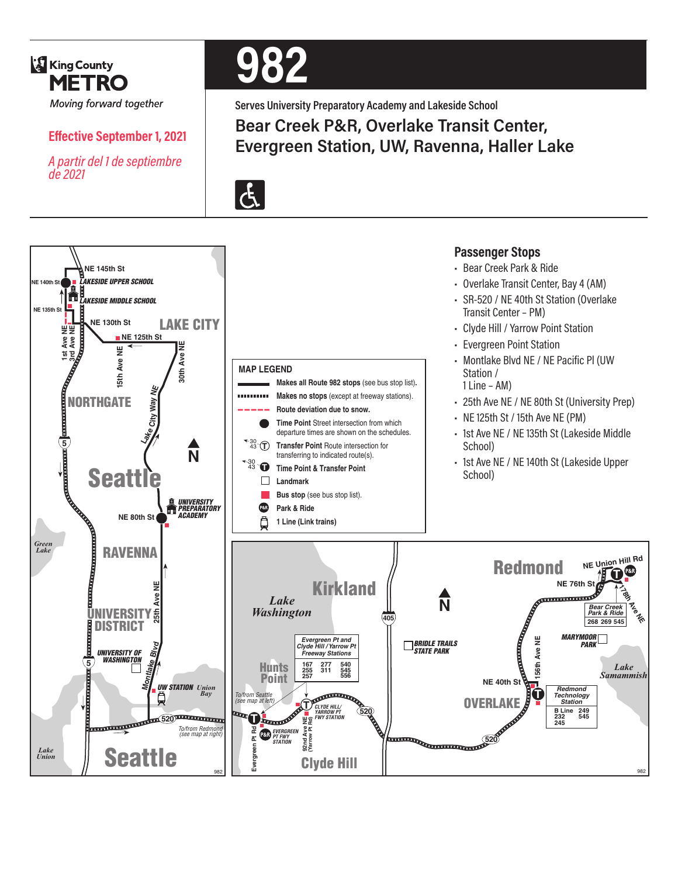

**NE 140th St** *LAKESIDE UPPER SCHOOL*

**NE 145th St**

**Effective September 1, 2021**

*A partir del 1 de septiembre de 2021*



**Serves University Preparatory Academy and Lakeside School Bear Creek P&R, Overlake Transit Center, Evergreen Station, UW, Ravenna, Haller Lake**





- Bear Creek Park & Ride
- Overlake Transit Center, Bay 4 (AM)
- SR-520 / NE 40th St Station (Overlake Transit Center – PM)